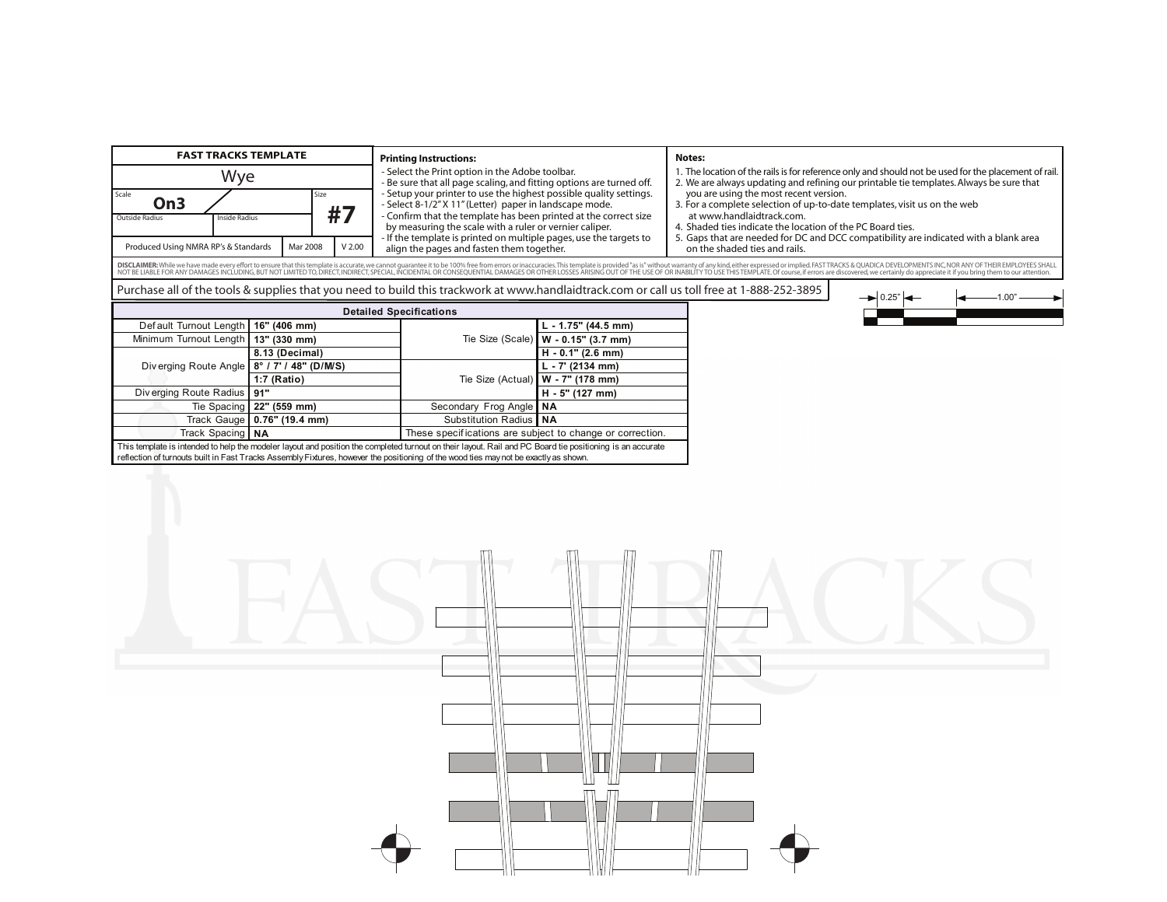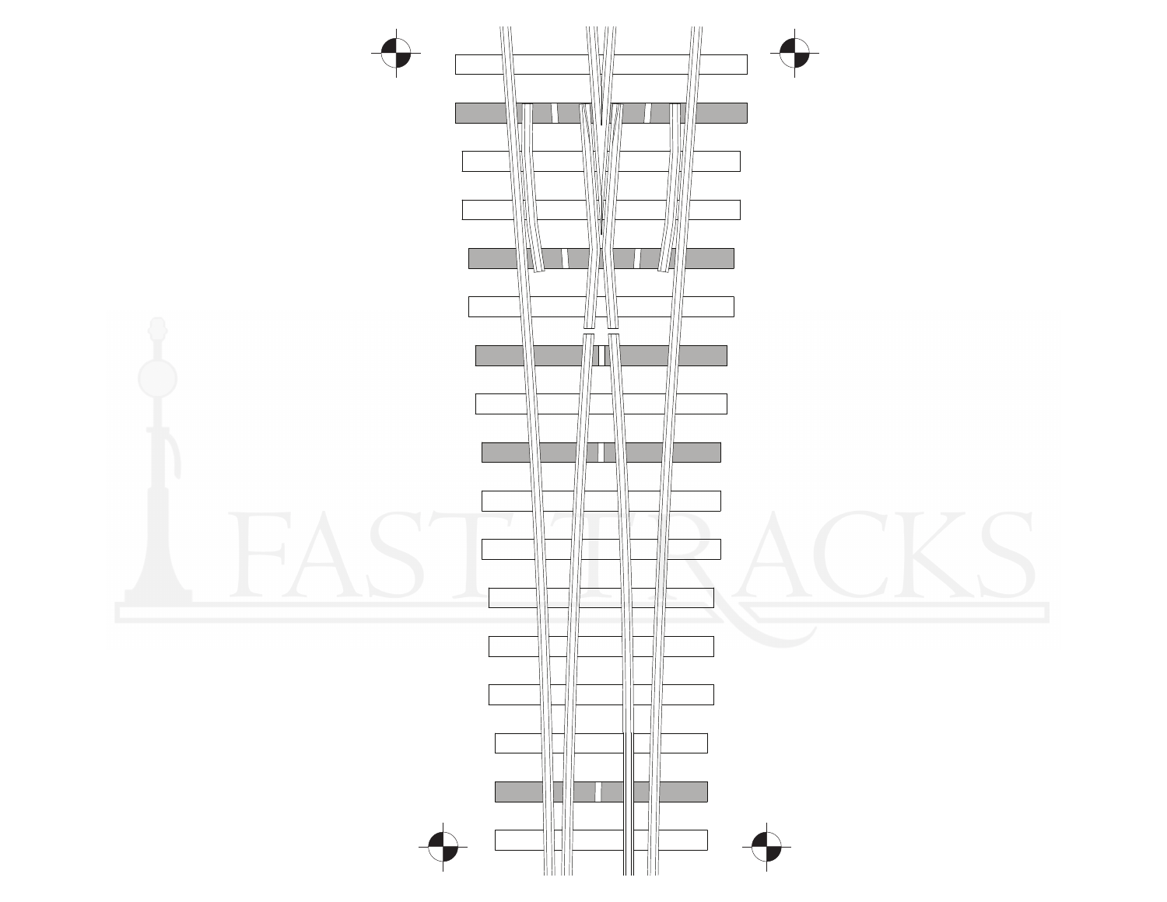